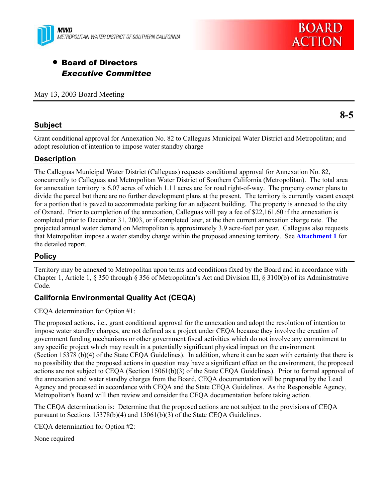



# **• Board of Directors** *Executive Committee*

May 13, 2003 Board Meeting

### **Subject**

**8-5** 

Grant conditional approval for Annexation No. 82 to Calleguas Municipal Water District and Metropolitan; and adopt resolution of intention to impose water standby charge

## **Description**

The Calleguas Municipal Water District (Calleguas) requests conditional approval for Annexation No. 82, concurrently to Calleguas and Metropolitan Water District of Southern California (Metropolitan). The total area for annexation territory is 6.07 acres of which 1.11 acres are for road right-of-way. The property owner plans to divide the parcel but there are no further development plans at the present. The territory is currently vacant except for a portion that is paved to accommodate parking for an adjacent building. The property is annexed to the city of Oxnard. Prior to completion of the annexation, Calleguas will pay a fee of \$22,161.60 if the annexation is completed prior to December 31, 2003, or if completed later, at the then current annexation charge rate. The projected annual water demand on Metropolitan is approximately 3.9 acre-feet per year. Calleguas also requests that Metropolitan impose a water standby charge within the proposed annexing territory. See **Attachment 1** for the detailed report.

### **Policy**

Territory may be annexed to Metropolitan upon terms and conditions fixed by the Board and in accordance with Chapter 1, Article 1, § 350 through § 356 of Metropolitan's Act and Division III, § 3100(b) of its Administrative Code.

## **California Environmental Quality Act (CEQA)**

CEQA determination for Option #1:

The proposed actions, i.e., grant conditional approval for the annexation and adopt the resolution of intention to impose water standby charges, are not defined as a project under CEQA because they involve the creation of government funding mechanisms or other government fiscal activities which do not involve any commitment to any specific project which may result in a potentially significant physical impact on the environment (Section 15378 (b)(4) of the State CEQA Guidelines). In addition, where it can be seen with certainty that there is no possibility that the proposed actions in question may have a significant effect on the environment, the proposed actions are not subject to CEQA (Section 15061(b)(3) of the State CEQA Guidelines). Prior to formal approval of the annexation and water standby charges from the Board, CEQA documentation will be prepared by the Lead Agency and processed in accordance with CEQA and the State CEQA Guidelines. As the Responsible Agency, Metropolitan's Board will then review and consider the CEQA documentation before taking action.

The CEQA determination is: Determine that the proposed actions are not subject to the provisions of CEQA pursuant to Sections 15378(b)(4) and 15061(b)(3) of the State CEQA Guidelines.

CEQA determination for Option #2:

None required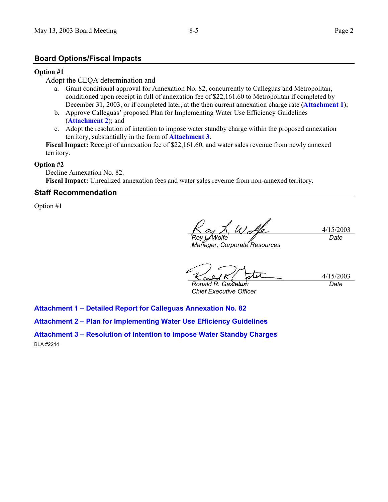### **Board Options/Fiscal Impacts**

#### **Option #1**

### Adopt the CEQA determination and

- a. Grant conditional approval for Annexation No. 82, concurrently to Calleguas and Metropolitan, conditioned upon receipt in full of annexation fee of \$22,161.60 to Metropolitan if completed by December 31, 2003, or if completed later, at the then current annexation charge rate (**Attachment 1**);
- b. Approve Calleguas' proposed Plan for Implementing Water Use Efficiency Guidelines (**Attachment 2**); and
- c. Adopt the resolution of intention to impose water standby charge within the proposed annexation territory, substantially in the form of **Attachment 3**.

**Fiscal Impact:** Receipt of annexation fee of \$22,161.60, and water sales revenue from newly annexed territory.

#### **Option #2**

Decline Annexation No. 82. **Fiscal Impact:** Unrealized annexation fees and water sales revenue from non-annexed territory.

### **Staff Recommendation**

Option #1

4/15/2003 *Roy L. Wolfe Date*

*Manager, Corporate Resources* 

4/15/2003 *Ronald R. Gastelum Date*

*Chief Executive Officer* 

**Attachment 1 – Detailed Report for Calleguas Annexation No. 82** 

**Attachment 2 – Plan for Implementing Water Use Efficiency Guidelines** 

**Attachment 3 – Resolution of Intention to Impose Water Standby Charges**  BLA #2214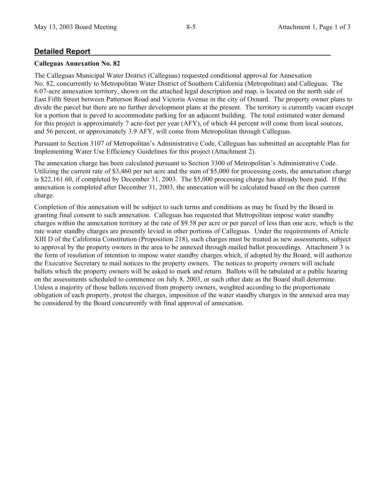## **Detailed Report**

### **Calleguas Annexation No. 82**

The Calleguas Municipal Water District (Calleguas) requested conditional approval for Annexation No. 82, concurrently to Metropolitan Water District of Southern California (Metropolitan) and Calleguas. The 6.07-acre annexation territory, shown on the attached legal description and map, is located on the north side of East Fifth Street between Patterson Road and Victoria Avenue in the city of Oxnard. The property owner plans to divide the parcel but there are no further development plans at the present. The territory is currently vacant except for a portion that is paved to accommodate parking for an adjacent building. The total estimated water demand for this project is approximately 7 acre-feet per year (AFY), of which 44 percent will come from local sources, and 56 percent, or approximately 3.9 AFY, will come from Metropolitan through Calleguas.

Pursuant to Section 3107 of Metropolitan's Administrative Code, Calleguas has submitted an acceptable Plan for Implementing Water Use Efficiency Guidelines for this project (Attachment 2).

The annexation charge has been calculated pursuant to Section 3300 of Metropolitan's Administrative Code. Utilizing the current rate of \$3,460 per net acre and the sum of \$5,000 for processing costs, the annexation charge is \$22,161.60, if completed by December 31, 2003. The \$5,000 processing charge has already been paid. If the annexation is completed after December 31, 2003, the annexation will be calculated based on the then current charge.

Completion of this annexation will be subject to such terms and conditions as may be fixed by the Board in granting final consent to such annexation. Calleguas has requested that Metropolitan impose water standby charges within the annexation territory at the rate of \$9.58 per acre or per parcel of less than one acre, which is the rate water standby charges are presently levied in other portions of Calleguas. Under the requirements of Article XIII D of the California Constitution (Proposition 218), such charges must be treated as new assessments, subject to approval by the property owners in the area to be annexed through mailed ballot proceedings. Attachment 3 is the form of resolution of intention to impose water standby charges which, if adopted by the Board, will authorize the Executive Secretary to mail notices to the property owners. The notices to property owners will include ballots which the property owners will be asked to mark and return. Ballots will be tabulated at a public hearing on the assessments scheduled to commence on July 8, 2003, or such other date as the Board shall determine. Unless a majority of those ballots received from property owners, weighted according to the proportionate obligation of each property, protest the charges, imposition of the water standby charges in the annexed area may be considered by the Board concurrently with final approval of annexation.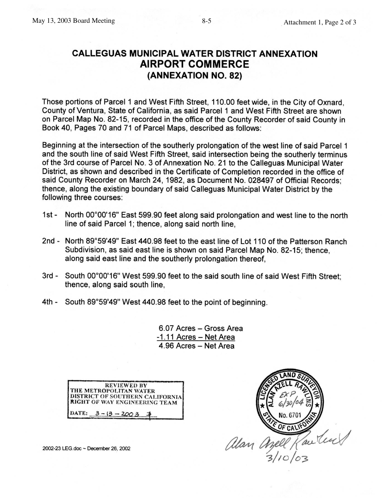# **CALLEGUAS MUNICIPAL WATER DISTRICT ANNEXATION AIRPORT COMMERCE** (ANNEXATION NO. 82)

Those portions of Parcel 1 and West Fifth Street, 110.00 feet wide, in the City of Oxnard, County of Ventura, State of California, as said Parcel 1 and West Fifth Street are shown on Parcel Map No. 82-15, recorded in the office of the County Recorder of said County in Book 40, Pages 70 and 71 of Parcel Maps, described as follows:

Beginning at the intersection of the southerly prolongation of the west line of said Parcel 1 and the south line of said West Fifth Street, said intersection being the southerly terminus of the 3rd course of Parcel No. 3 of Annexation No. 21 to the Calleguas Municipal Water District, as shown and described in the Certificate of Completion recorded in the office of said County Recorder on March 24, 1982, as Document No. 028497 of Official Records; thence, along the existing boundary of said Calleguas Municipal Water District by the following three courses:

- North 00°00'16" East 599.90 feet along said prolongation and west line to the north 1st line of said Parcel 1; thence, along said north line.
- 2nd North 89°59'49" East 440.98 feet to the east line of Lot 110 of the Patterson Ranch Subdivision, as said east line is shown on said Parcel Map No. 82-15; thence, along said east line and the southerly prolongation thereof.
- 3rd South 00°00'16" West 599.90 feet to the said south line of said West Fifth Street; thence, along said south line,
- 4th South 89°59'49" West 440.98 feet to the point of beginning.

6.07 Acres - Gross Area -1.11 Acres - Net Area 4.96 Acres - Net Area

| <b>REVIEWED BY</b>                                               |
|------------------------------------------------------------------|
| THE METROPOLITAN WATER                                           |
|                                                                  |
| DISTRICT OF SOUTHERN CALIFORNIA<br>RIGHT OF WAY ENGINEERING TEAM |
| DATE: $3 - 13 - 2003$                                            |

2002-23 LEG.doc ~ December 26, 2002

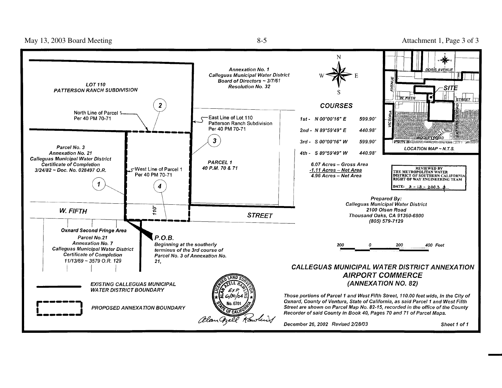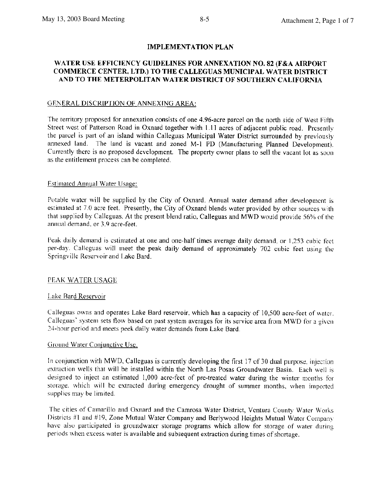### **IMPLEMENTATION PLAN**

### WATER USE EFFICIENCY GUIDELINES FOR ANNEXATION NO. 82 (F&A AIRPORT COMMERCE CENTER, LTD.) TO THE CALLEGUAS MUNICIPAL WATER DISTRICT AND TO THE METERPOLITAN WATER DISTRICT OF SOUTHERN CALIFORNIA

#### GENERAL DISCRIPTION OF ANNEXING AREA:

The territory proposed for annexation consists of one 4.96-acre parcel on the north side of West Fifth Street west of Patterson Road in Oxnard together with 1.11 acres of adjacent public road. Presently the parcel is part of an island within Calleguas Municipal Water District surrounded by previously annexed land. The land is vacant and zoned M-1 PD (Manufacturing Planned Development). Currently there is no proposed development. The property owner plans to sell the vacant lot as soon as the entitlement process can be completed.

#### **Estimated Annual Water Usage:**

Potable water will be supplied by the City of Oxnard. Annual water demand after development is estimated at 7.0 acre feet. Presently, the City of Oxnard blends water provided by other sources with that supplied by Calleguas. At the present blend ratio, Calleguas and MWD would provide 56% of the annual demand, or 3.9 acre-feet.

Peak daily demand is estimated at one and one-half times average daily demand, or 1,253 cubic feet per-day. Calleguas will meet the peak daily demand of approximately 702 cubic feet using the Springville Reservoir and Lake Bard.

#### PEAK WATER USAGE

#### Lake Bard Reservoir

Calleguas owns and operates Lake Bard reservoir, which has a capacity of 10,500 acre-feet of water. Calleguas' system sets flow based on past system averages for its service area from MWD for a given 24-hour period and meets peek daily water demands from Lake Bard.

#### Ground Water Conjunctive Use.

In conjunction with MWD, Calleguas is currently developing the first 17 of 30 dual purpose, injection extraction wells that will be installed within the North Las Posas Groundwater Basin. Each well is designed to inject an estimated 1,000 acre-feet of pre-treated water during the winter months for storage, which will be extracted during emergency drought of summer months, when imported supplies may be limited.

The cities of Camarillo and Oxnard and the Camrosa Water District, Ventura County Water Works Districts #1 and #19, Zone Mutual Water Company and Berlywood Heights Mutual Water Company have also participated in groundwater storage programs which allow for storage of water during periods when excess water is available and subsequent extraction during times of shortage.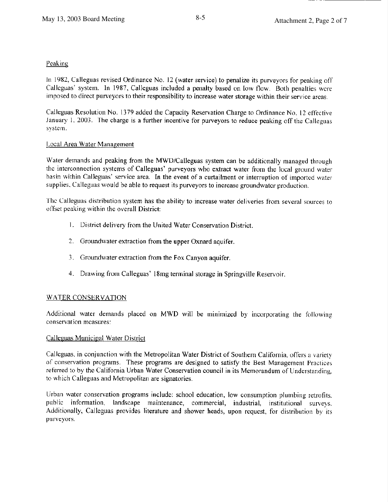### Peaking

In 1982, Calleguas revised Ordinance No. 12 (water service) to penalize its purveyors for peaking off Calleguas' system. In 1987, Calleguas included a penalty based on low flow. Both penalties were imposed to direct purveyors to their responsibility to increase water storage within their service areas.

Calleguas Resolution No. 1379 added the Capacity Reservation Charge to Ordinance No. 12 effective January 1, 2003. The charge is a further incentive for purveyors to reduce peaking off the Calleguas system.

### Local Area Water Management

Water demands and peaking from the MWD/Calleguas system can be additionally managed through the interconnection systems of Calleguas' purveyors who extract water from the local ground water basin within Calleguas' service area. In the event of a curtailment or interruption of imported water supplies. Calleguas would be able to request its purveyors to increase groundwater production.

The Calleguas distribution system has the ability to increase water deliveries from several sources to offset peaking within the overall District:

- 1. District delivery from the United Water Conservation District.
- 2. Groundwater extraction from the upper Oxnard aquifer.
- 3. Groundwater extraction from the Fox Canyon aquifer.
- 4. Drawing from Calleguas' 18mg terminal storage in Springville Reservoir.

### **WATER CONSERVATION**

Additional water demands placed on MWD will be minimized by incorporating the following conservation measures:

### Calleguas Municipal Water District

Calleguas, in conjunction with the Metropolitan Water District of Southern California, offers a variety of conservation programs. These programs are designed to satisfy the Best Management Practices referred to by the California Urban Water Conservation council in its Memorandum of Understanding, to which Calleguas and Metropolitan are signatories.

Urban water conservation programs include: school education, low consumption plumbing retrofits. public information, landscape maintenance, commercial, industrial, institutional surveys. Additionally, Calleguas provides literature and shower heads, upon request, for distribution by its purveyors.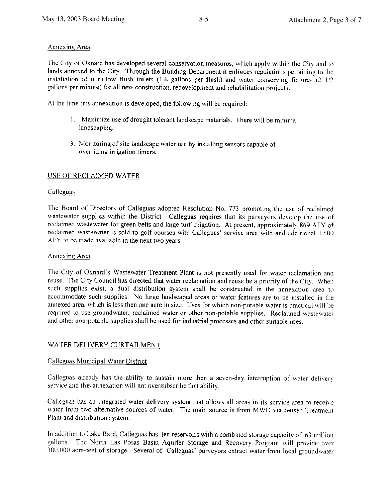# Annexing Area

The City of Oxnard has developed several conservation measures, which apply within the City and to lands annexed to the City. Through the Building Department it enforces regulations pertaining to the installation of ultra-low flush toilets (1.6 gallons per flush) and water conserving fixtures  $(2 \frac{1}{2})$ gallons per minute) for all new construction, redevelopment and rehabilitation projects.

At the time this annexation is developed, the following will be required:

- 1. Maximize use of drought tolerant landscape materials. There will be minimal landscaping.
- 3. Monitoring of site landscape water use by installing sensors capable of overriding irrigation timers.

## USE OF RECLAIMED WATER

## Calleguas

The Board of Directors of Calleguas adopted Resolution No. 773 promoting the use of reclaimed wastewater supplies within the District. Calleguas requires that its purveyors develop the use of reclaimed wastewater for green belts and large turf irrigation. At present, approximately 869 AFY of reclaimed wastewater is sold to golf courses with Calleguas' service area with and additional 1.500 AFY to be made available in the next two years.

## Annexing Area

The City of Oxnard's Wastewater Treatment Plant is not presently used for water reclamation and reuse. The City Council has directed that water reclamation and reuse be a priority of the City. When such supplies exist, a dual distribution system shall be constructed in the annexation area to accommodate such supplies. No large landscaped areas or water features are to be installed in the annexed area, which is less then one acre in size. Uses for which non-potable water is practical will be required to use groundwater, reclaimed water or other non-potable supplies. Reclaimed wastewater and other non-potable supplies shall be used for industrial processes and other suitable uses.

# WATER DELIVERY CURTAILMENT

# Calleguas Municipal Water District

Calleguas already has the ability to sustain more then a seven-day interruption of water delivery service and this annexation will not oversubscribe that ability.

Calleguas has an integrated water delivery system that allows all areas in its service area to receive water from two alternative sources of water. The main source is from MWD via Jensen Treatment Plant and distribution system.

In addition to Lake Bard, Calleguas has ten reservoirs with a combined storage capacity of 63 million gallons. The North Las Posas Basin Aquifer Storage and Recovery Program will provide over 300,000 acre-feet of storage. Several of Calleguas' purveyors extract water from local groundwater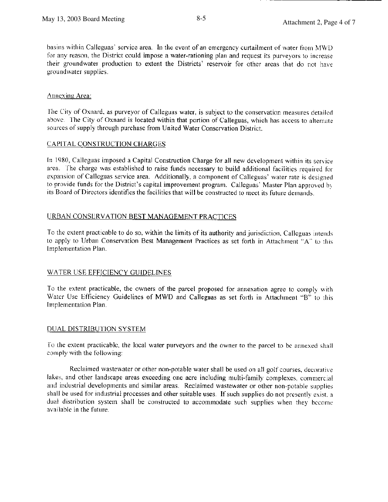basins within Calleguas' service area. In the event of an emergency curtailment of water from MWD for any reason, the District could impose a water-rationing plan and request its purveyors to increase their groundwater production to extent the Districts' reservoir for other areas that do not have groundwater supplies.

## Annexing Area:

The City of Oxnard, as purveyor of Calleguas water, is subject to the conservation measures detailed above. The City of Oxnard is located within that portion of Calleguas, which has access to alternate sources of supply through purchase from United Water Conservation District.

## CAPITAL CONSTRUCTION CHARGES

In 1980, Calleguas imposed a Capital Construction Charge for all new development within its service area. The charge was established to raise funds necessary to build additional facilities required for expansion of Calleguas service area. Additionally, a component of Calleguas' water rate is designed to provide funds for the District's capital improvement program. Calleguas' Master Plan approved by its Board of Directors identifies the facilities that will be constructed to meet its future demands.

## URBAN CONSERVATION BEST MANAGEMENT PRACTICES

To the extent practicable to do so, within the limits of its authority and jurisdiction, Calleguas intends to apply to Urban Conservation Best Management Practices as set forth in Attachment "A" to this Implementation Plan.

# WATER USE EFFICIENCY GUIDELINES

To the extent practicable, the owners of the parcel proposed for annexation agree to comply with Water Use Efficiency Guidelines of MWD and Calleguas as set forth in Attachment "B" to this Implementation Plan.

# DUAL DISTRIBUTION SYSTEM

To the extent practicable, the local water purveyors and the owner to the parcel to be annexed shall comply with the following:

Reclaimed wastewater or other non-potable water shall be used on all golf courses, decorative lakes, and other landscape areas exceeding one acre including multi-family complexes, commercial and industrial developments and similar areas. Reclaimed wastewater or other non-potable supplies shall be used for industrial processes and other suitable uses. If such supplies do not presently exist, a dual distribution system shall be constructed to accommodate such supplies when they become available in the future.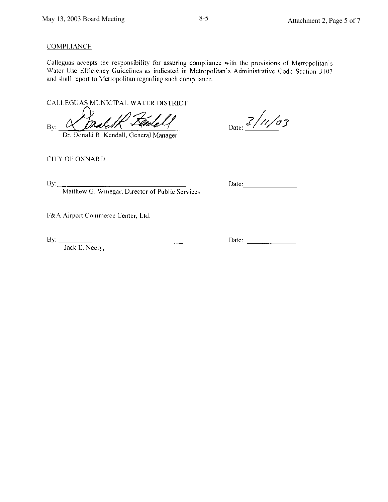# **COMPLIANCE**

Calleguas accepts the responsibility for assuring compliance with the provisions of Metropolitan's Water Use Efficiency Guidelines as indicated in Metropolitan's Administrative Code Section 3107 and shall report to Metropolitan regarding such compliance.

CALLEGUAS MUNICIPAL WATER DISTRICT

By:

Dr. Donald R. Kendall, General Manager

Date:  $\frac{3}{\sqrt{11}}$ 

CITY OF OXNARD

 $By_{-}$ 

Matthew G. Winegar, Director of Public Services

 $\frac{1}{1-\frac{1}{1-\frac{1}{1-\frac{1}{1-\frac{1}{1-\frac{1}{1-\frac{1}{1-\frac{1}{1-\frac{1}{1-\frac{1}{1-\frac{1}{1-\frac{1}{1-\frac{1}{1-\frac{1}{1-\frac{1}{1-\frac{1}{1-\frac{1}{1-\frac{1}{1-\frac{1}{1-\frac{1}{1-\frac{1}{1-\frac{1}{1-\frac{1}{1-\frac{1}{1-\frac{1}{1-\frac{1}{1-\frac{1}{1-\frac{1}{1-\frac{1}{1-\frac{1}{1-\frac{1}{1-\frac{1}{1-\frac{1}{1-\frac{1}{1-\frac{1}{1-\frac{1}{1-\frac{1$ 

F&A Airport Commerce Center, Ltd.

 $\text{By:}\_$ 

Jack E. Neely,

Date:  $\frac{1}{2}$   $\frac{1}{2}$   $\frac{1}{2}$   $\frac{1}{2}$   $\frac{1}{2}$   $\frac{1}{2}$   $\frac{1}{2}$   $\frac{1}{2}$   $\frac{1}{2}$   $\frac{1}{2}$   $\frac{1}{2}$   $\frac{1}{2}$   $\frac{1}{2}$   $\frac{1}{2}$   $\frac{1}{2}$   $\frac{1}{2}$   $\frac{1}{2}$   $\frac{1}{2}$   $\frac{1}{2}$   $\frac{1}{2}$   $\frac{1}{2}$   $\frac{1$ 

Date:  $\frac{1}{\sqrt{1-\frac{1}{2}} \cdot \frac{1}{2}}$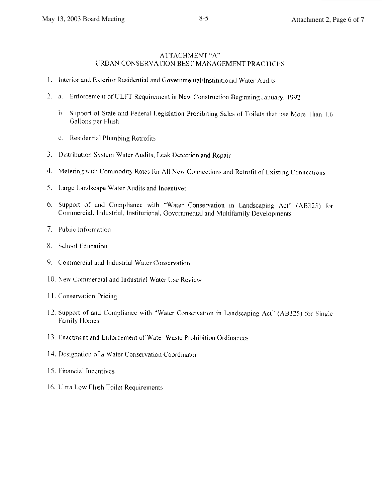### ATTACHMENT "A" URBAN CONSERVATION BEST MANAGEMENT PRACTICES

- 1. Interior and Exterior Residential and Governmental/Institutional Water Audits
- 2. a. Enforcement of ULFT Requirement in New Construction Beginning January, 1992
	- b. Support of State and Federal Legislation Prohibiting Sales of Toilets that use More Than 1.6 Gallons per Flush
	- c. Residential Plumbing Retrofits
- 3. Distribution System Water Audits, Leak Detection and Repair
- 4. Metering with Commodity Rates for All New Connections and Retrofit of Existing Connections
- 5. Large Landscape Water Audits and Incentives
- 6. Support of and Compliance with "Water Conservation in Landscaping Act" (AB325) for Commercial, Industrial, Institutional, Governmental and Multifamily Developments
- 7. Public Information
- 8. School Education
- 9. Commercial and Industrial Water Conservation
- 10. New Commercial and Industrial Water Use Review
- 11. Conservation Pricing
- 12. Support of and Compliance with "Water Conservation in Landscaping Act" (AB325) for Single **Family Homes**
- 13. Enactment and Enforcement of Water Waste Prohibition Ordinances
- 14. Designation of a Water Conservation Coordinator
- 15. Financial Incentives
- 16. Ultra Low Flush Toilet Requirements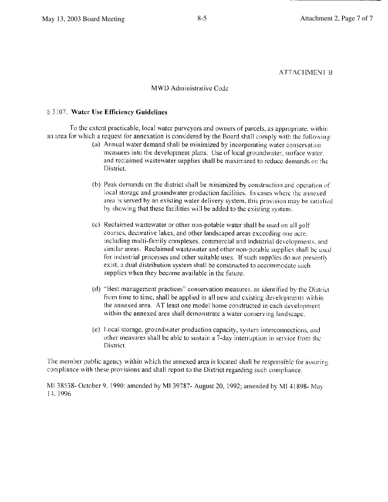## **ATTACHMENT B**

### MWD Administrative Code

### § 3107. Water Use Efficiency Guidelines

To the extent practicable, local water purveyors and owners of parcels, as appropriate, within an area for which a request for annexation is considered by the Board shall comply with the following:

- (a) Annual water demand shall be minimized by incorporating water conservation measures into the development plans. Use of local groundwater, surface water, and reclaimed wastewater supplies shall be maximized to reduce demands on the District.
- (b) Peak demands on the district shall be minimized by construction and operation of local storage and groundwater production facilities. In cases where the annexed area is served by an existing water delivery system, this provision may be satisfied by showing that these facilities will be added to the existing system.
- (c) Reclaimed wastewater or other non-potable water shall be used on all golf courses, decorative lakes, and other landscaped areas exceeding one acre. including multi-family complexes, commercial and industrial developments, and similar areas. Reclaimed wastewater and other non-potable supplies shall be used for industrial processes and other suitable uses. If such supplies do not presently exist, a dual distribution system shall be constructed to accommodate such supplies when they become available in the future.
- (d) "Best management practices" conservation measures, as identified by the District from time to time, shall be applied in all new and existing developments within the annexed area. AT least one model home constructed in each development within the annexed area shall demonstrate a water conserving landscape.
- (e) Local storage, groundwater production capacity, system interconnections, and other measures shall be able to sustain a 7-day interruption in service from the District.

The member public agency within which the annexed area is located shall be responsible for assuring compliance with these provisions and shall report to the District regarding such compliance.

MI 38538- October 9, 1990; amended by MI 39787- August 20, 1992; amended by MI 41898- May 14.1996.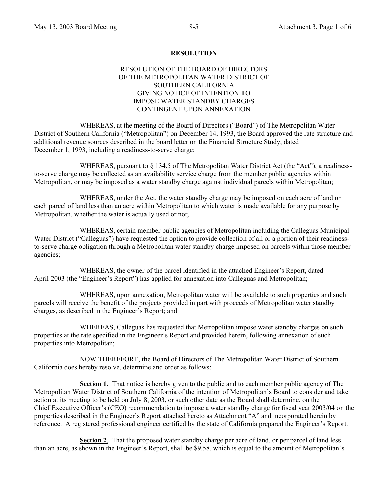### **RESOLUTION**

### RESOLUTION OF THE BOARD OF DIRECTORS OF THE METROPOLITAN WATER DISTRICT OF SOUTHERN CALIFORNIA GIVING NOTICE OF INTENTION TO IMPOSE WATER STANDBY CHARGES CONTINGENT UPON ANNEXATION

 WHEREAS, at the meeting of the Board of Directors ("Board") of The Metropolitan Water District of Southern California ("Metropolitan") on December 14, 1993, the Board approved the rate structure and additional revenue sources described in the board letter on the Financial Structure Study, dated December 1, 1993, including a readiness-to-serve charge;

WHEREAS, pursuant to § 134.5 of The Metropolitan Water District Act (the "Act"), a readinessto-serve charge may be collected as an availability service charge from the member public agencies within Metropolitan, or may be imposed as a water standby charge against individual parcels within Metropolitan;

 WHEREAS, under the Act, the water standby charge may be imposed on each acre of land or each parcel of land less than an acre within Metropolitan to which water is made available for any purpose by Metropolitan, whether the water is actually used or not;

 WHEREAS, certain member public agencies of Metropolitan including the Calleguas Municipal Water District ("Calleguas") have requested the option to provide collection of all or a portion of their readinessto-serve charge obligation through a Metropolitan water standby charge imposed on parcels within those member agencies;

 WHEREAS, the owner of the parcel identified in the attached Engineer's Report, dated April 2003 (the "Engineer's Report") has applied for annexation into Calleguas and Metropolitan;

 WHEREAS, upon annexation, Metropolitan water will be available to such properties and such parcels will receive the benefit of the projects provided in part with proceeds of Metropolitan water standby charges, as described in the Engineer's Report; and

 WHEREAS, Calleguas has requested that Metropolitan impose water standby charges on such properties at the rate specified in the Engineer's Report and provided herein, following annexation of such properties into Metropolitan;

 NOW THEREFORE, the Board of Directors of The Metropolitan Water District of Southern California does hereby resolve, determine and order as follows:

**Section 1.** That notice is hereby given to the public and to each member public agency of The Metropolitan Water District of Southern California of the intention of Metropolitan's Board to consider and take action at its meeting to be held on July 8, 2003, or such other date as the Board shall determine, on the Chief Executive Officer's (CEO) recommendation to impose a water standby charge for fiscal year 2003/04 on the properties described in the Engineer's Report attached hereto as Attachment "A" and incorporated herein by reference. A registered professional engineer certified by the state of California prepared the Engineer's Report.

**Section 2**. That the proposed water standby charge per acre of land, or per parcel of land less than an acre, as shown in the Engineer's Report, shall be \$9.58, which is equal to the amount of Metropolitan's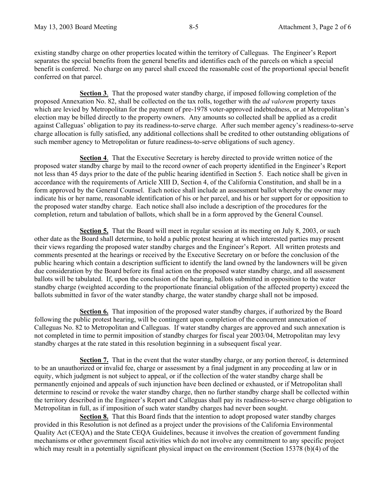existing standby charge on other properties located within the territory of Calleguas. The Engineer's Report separates the special benefits from the general benefits and identifies each of the parcels on which a special benefit is conferred. No charge on any parcel shall exceed the reasonable cost of the proportional special benefit conferred on that parcel.

**Section 3**. That the proposed water standby charge, if imposed following completion of the proposed Annexation No. 82, shall be collected on the tax rolls, together with the *ad valorem* property taxes which are levied by Metropolitan for the payment of pre-1978 voter-approved indebtedness, or at Metropolitan's election may be billed directly to the property owners. Any amounts so collected shall be applied as a credit against Calleguas' obligation to pay its readiness-to-serve charge. After such member agency's readiness-to-serve charge allocation is fully satisfied, any additional collections shall be credited to other outstanding obligations of such member agency to Metropolitan or future readiness-to-serve obligations of such agency.

**Section 4**. That the Executive Secretary is hereby directed to provide written notice of the proposed water standby charge by mail to the record owner of each property identified in the Engineer's Report not less than 45 days prior to the date of the public hearing identified in Section 5. Each notice shall be given in accordance with the requirements of Article XIII D, Section 4, of the California Constitution, and shall be in a form approved by the General Counsel. Each notice shall include an assessment ballot whereby the owner may indicate his or her name, reasonable identification of his or her parcel, and his or her support for or opposition to the proposed water standby charge. Each notice shall also include a description of the procedures for the completion, return and tabulation of ballots, which shall be in a form approved by the General Counsel.

**Section 5.** That the Board will meet in regular session at its meeting on July 8, 2003, or such other date as the Board shall determine, to hold a public protest hearing at which interested parties may present their views regarding the proposed water standby charges and the Engineer's Report. All written protests and comments presented at the hearings or received by the Executive Secretary on or before the conclusion of the public hearing which contain a description sufficient to identify the land owned by the landowners will be given due consideration by the Board before its final action on the proposed water standby charge, and all assessment ballots will be tabulated. If, upon the conclusion of the hearing, ballots submitted in opposition to the water standby charge (weighted according to the proportionate financial obligation of the affected property) exceed the ballots submitted in favor of the water standby charge, the water standby charge shall not be imposed.

**Section 6.** That imposition of the proposed water standby charges, if authorized by the Board following the public protest hearing, will be contingent upon completion of the concurrent annexation of Calleguas No. 82 to Metropolitan and Calleguas. If water standby charges are approved and such annexation is not completed in time to permit imposition of standby charges for fiscal year 2003/04, Metropolitan may levy standby charges at the rate stated in this resolution beginning in a subsequent fiscal year.

**Section 7.** That in the event that the water standby charge, or any portion thereof, is determined to be an unauthorized or invalid fee, charge or assessment by a final judgment in any proceeding at law or in equity, which judgment is not subject to appeal, or if the collection of the water standby charge shall be permanently enjoined and appeals of such injunction have been declined or exhausted, or if Metropolitan shall determine to rescind or revoke the water standby charge, then no further standby charge shall be collected within the territory described in the Engineer's Report and Calleguas shall pay its readiness-to-serve charge obligation to Metropolitan in full, as if imposition of such water standby charges had never been sought.

**Section 8.** That this Board finds that the intention to adopt proposed water standby charges provided in this Resolution is not defined as a project under the provisions of the California Environmental Quality Act (CEQA) and the State CEQA Guidelines, because it involves the creation of government funding mechanisms or other government fiscal activities which do not involve any commitment to any specific project which may result in a potentially significant physical impact on the environment (Section 15378 (b)(4) of the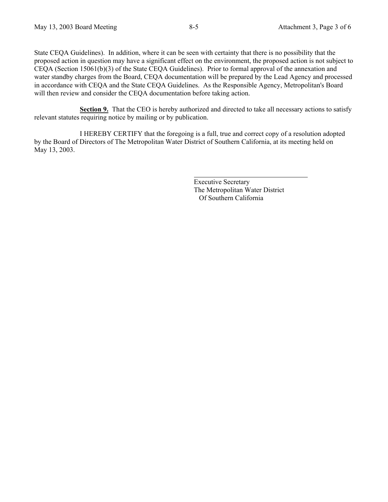State CEQA Guidelines). In addition, where it can be seen with certainty that there is no possibility that the proposed action in question may have a significant effect on the environment, the proposed action is not subject to CEQA (Section 15061(b)(3) of the State CEQA Guidelines). Prior to formal approval of the annexation and water standby charges from the Board, CEQA documentation will be prepared by the Lead Agency and processed in accordance with CEQA and the State CEQA Guidelines. As the Responsible Agency, Metropolitan's Board will then review and consider the CEQA documentation before taking action.

**Section 9.** That the CEO is hereby authorized and directed to take all necessary actions to satisfy relevant statutes requiring notice by mailing or by publication.

 I HEREBY CERTIFY that the foregoing is a full, true and correct copy of a resolution adopted by the Board of Directors of The Metropolitan Water District of Southern California, at its meeting held on May 13, 2003.

> Executive Secretary The Metropolitan Water District Of Southern California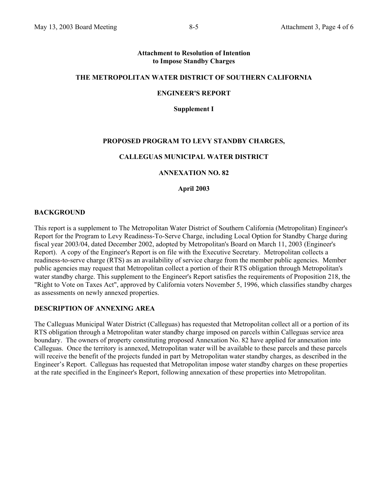### **Attachment to Resolution of Intention to Impose Standby Charges**

### **THE METROPOLITAN WATER DISTRICT OF SOUTHERN CALIFORNIA**

#### **ENGINEER'S REPORT**

**Supplement I** 

### **PROPOSED PROGRAM TO LEVY STANDBY CHARGES,**

### **CALLEGUAS MUNICIPAL WATER DISTRICT**

#### **ANNEXATION NO. 82**

**April 2003** 

#### **BACKGROUND**

This report is a supplement to The Metropolitan Water District of Southern California (Metropolitan) Engineer's Report for the Program to Levy Readiness-To-Serve Charge, including Local Option for Standby Charge during fiscal year 2003/04, dated December 2002, adopted by Metropolitan's Board on March 11, 2003 (Engineer's Report). A copy of the Engineer's Report is on file with the Executive Secretary. Metropolitan collects a readiness-to-serve charge (RTS) as an availability of service charge from the member public agencies. Member public agencies may request that Metropolitan collect a portion of their RTS obligation through Metropolitan's water standby charge. This supplement to the Engineer's Report satisfies the requirements of Proposition 218, the "Right to Vote on Taxes Act", approved by California voters November 5, 1996, which classifies standby charges as assessments on newly annexed properties.

### **DESCRIPTION OF ANNEXING AREA**

The Calleguas Municipal Water District (Calleguas) has requested that Metropolitan collect all or a portion of its RTS obligation through a Metropolitan water standby charge imposed on parcels within Calleguas service area boundary. The owners of property constituting proposed Annexation No. 82 have applied for annexation into Calleguas. Once the territory is annexed, Metropolitan water will be available to these parcels and these parcels will receive the benefit of the projects funded in part by Metropolitan water standby charges, as described in the Engineer's Report. Calleguas has requested that Metropolitan impose water standby charges on these properties at the rate specified in the Engineer's Report, following annexation of these properties into Metropolitan.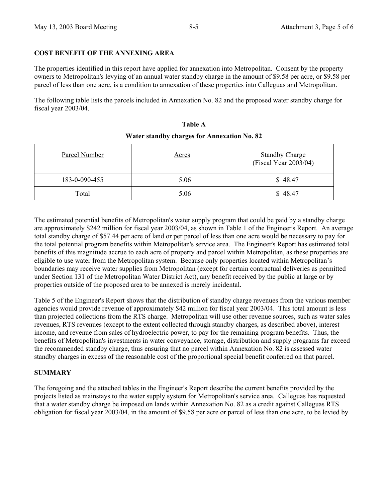### **COST BENEFIT OF THE ANNEXING AREA**

The properties identified in this report have applied for annexation into Metropolitan. Consent by the property owners to Metropolitan's levying of an annual water standby charge in the amount of \$9.58 per acre, or \$9.58 per parcel of less than one acre, is a condition to annexation of these properties into Calleguas and Metropolitan.

The following table lists the parcels included in Annexation No. 82 and the proposed water standby charge for fiscal year 2003/04.

| Parcel Number | <u>Acres</u> | <b>Standby Charge</b><br>(Fiscal Year 2003/04) |  |  |
|---------------|--------------|------------------------------------------------|--|--|
| 183-0-090-455 | 5.06         | \$48.47                                        |  |  |
| Total         | 5.06         | \$48.47                                        |  |  |

# **Table A Water standby charges for Annexation No. 82**

The estimated potential benefits of Metropolitan's water supply program that could be paid by a standby charge are approximately \$242 million for fiscal year 2003/04, as shown in Table 1 of the Engineer's Report. An average total standby charge of \$57.44 per acre of land or per parcel of less than one acre would be necessary to pay for the total potential program benefits within Metropolitan's service area. The Engineer's Report has estimated total benefits of this magnitude accrue to each acre of property and parcel within Metropolitan, as these properties are eligible to use water from the Metropolitan system. Because only properties located within Metropolitan's boundaries may receive water supplies from Metropolitan (except for certain contractual deliveries as permitted under Section 131 of the Metropolitan Water District Act), any benefit received by the public at large or by properties outside of the proposed area to be annexed is merely incidental.

Table 5 of the Engineer's Report shows that the distribution of standby charge revenues from the various member agencies would provide revenue of approximately \$42 million for fiscal year 2003/04. This total amount is less than projected collections from the RTS charge. Metropolitan will use other revenue sources, such as water sales revenues, RTS revenues (except to the extent collected through standby charges, as described above), interest income, and revenue from sales of hydroelectric power, to pay for the remaining program benefits. Thus, the benefits of Metropolitan's investments in water conveyance, storage, distribution and supply programs far exceed the recommended standby charge, thus ensuring that no parcel within Annexation No. 82 is assessed water standby charges in excess of the reasonable cost of the proportional special benefit conferred on that parcel.

### **SUMMARY**

The foregoing and the attached tables in the Engineer's Report describe the current benefits provided by the projects listed as mainstays to the water supply system for Metropolitan's service area. Calleguas has requested that a water standby charge be imposed on lands within Annexation No. 82 as a credit against Calleguas RTS obligation for fiscal year 2003/04, in the amount of \$9.58 per acre or parcel of less than one acre, to be levied by